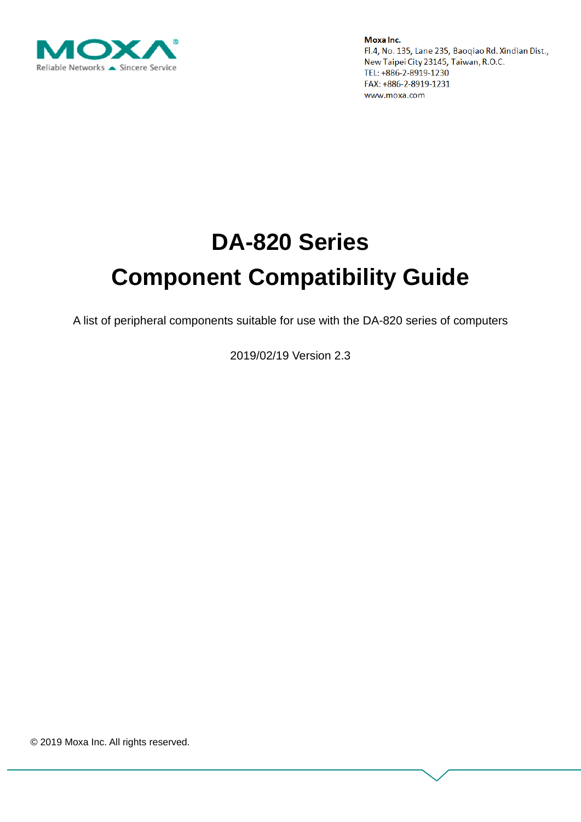

# **DA-820 Series Component Compatibility Guide**

A list of peripheral components suitable for use with the DA-820 series of computers

2019/02/19 Version 2.3

© 2019 Moxa Inc. All rights reserved.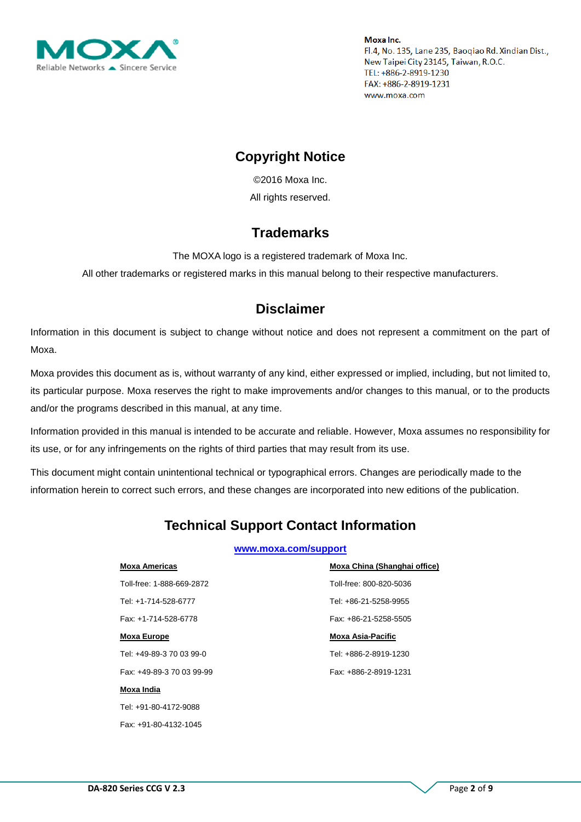

## **Copyright Notice**

© 2016 Moxa Inc. All rights reserved.

## **Trademarks**

The MOXA logo is a registered trademark of Moxa Inc.

All other trademarks or registered marks in this manual belong to their respective manufacturers.

## **Disclaimer**

Information in this document is subject to change without notice and does not represent a commitment on the part of Moxa.

Moxa provides this document as is, without warranty of any kind, either expressed or implied, including, but not limited to, its particular purpose. Moxa reserves the right to make improvements and/or changes to this manual, or to the products and/or the programs described in this manual, at any time.

Information provided in this manual is intended to be accurate and reliable. However, Moxa assumes no responsibility for its use, or for any infringements on the rights of third parties that may result from its use.

This document might contain unintentional technical or typographical errors. Changes are periodically made to the information herein to correct such errors, and these changes are incorporated into new editions of the publication.

# **Technical Support Contact Information**

#### **[www.moxa.com/support](http://www.moxa.com/support)**

| <b>Moxa Americas</b>      | Moxa China (Shanghai office) |
|---------------------------|------------------------------|
| Toll-free: 1-888-669-2872 | Toll-free: 800-820-5036      |
| Tel: +1-714-528-6777      | Tel: +86-21-5258-9955        |
| Fax: +1-714-528-6778      | Fax: +86-21-5258-5505        |
| <b>Moxa Europe</b>        | <b>Moxa Asia-Pacific</b>     |
| Tel: +49-89-3 70 03 99-0  | Tel: +886-2-8919-1230        |
| Fax: +49-89-3 70 03 99-99 | Fax: +886-2-8919-1231        |
| Moxa India                |                              |
|                           |                              |

Tel: +91-80-4172-9088 Fax: +91-80-4132-1045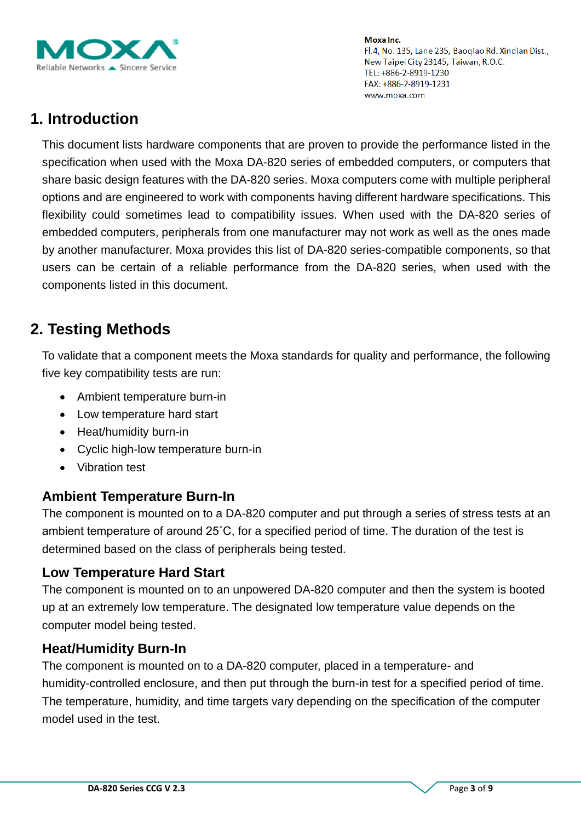

# **1. Introduction**

This document lists hardware components that are proven to provide the performance listed in the specification when used with the Moxa DA-820 series of embedded computers, or computers that share basic design features with the DA-820 series. Moxa computers come with multiple peripheral options and are engineered to work with components having different hardware specifications. This flexibility could sometimes lead to compatibility issues. When used with the DA-820 series of embedded computers, peripherals from one manufacturer may not work as well as the ones made by another manufacturer. Moxa provides this list of DA-820 series-compatible components, so that users can be certain of a reliable performance from the DA-820 series, when used with the components listed in this document.

# **2. Testing Methods**

To validate that a component meets the Moxa standards for quality and performance, the following five key compatibility tests are run:

- Ambient temperature burn-in
- Low temperature hard start
- Heat/humidity burn-in
- Cyclic high-low temperature burn-in
- Vibration test

### **Ambient Temperature Burn-In**

The component is mounted on to a DA-820 computer and put through a series of stress tests at an ambient temperature of around 25˚C, for a specified period of time. The duration of the test is determined based on the class of peripherals being tested.

### **Low Temperature Hard Start**

The component is mounted on to an unpowered DA-820 computer and then the system is booted up at an extremely low temperature. The designated low temperature value depends on the computer model being tested.

### **Heat/Humidity Burn-In**

The component is mounted on to a DA-820 computer, placed in a temperature- and humidity-controlled enclosure, and then put through the burn-in test for a specified period of time. The temperature, humidity, and time targets vary depending on the specification of the computer model used in the test.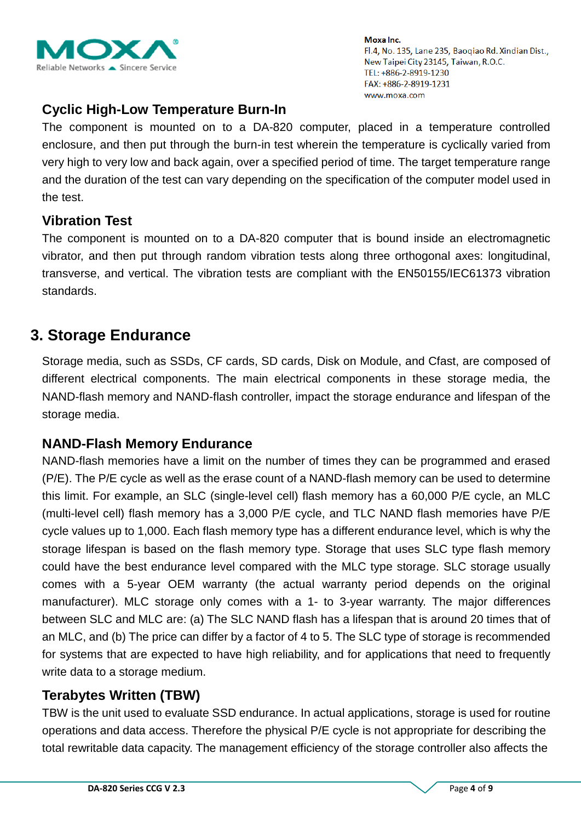

## **Cyclic High-Low Temperature Burn-In**

The component is mounted on to a DA-820 computer, placed in a temperature controlled enclosure, and then put through the burn-in test wherein the temperature is cyclically varied from very high to very low and back again, over a specified period of time. The target temperature range and the duration of the test can vary depending on the specification of the computer model used in the test.

#### **Vibration Test**

The component is mounted on to a DA-820 computer that is bound inside an electromagnetic vibrator, and then put through random vibration tests along three orthogonal axes: longitudinal, transverse, and vertical. The vibration tests are compliant with the EN50155/IEC61373 vibration standards.

## **3. Storage Endurance**

Storage media, such as SSDs, CF cards, SD cards, Disk on Module, and Cfast, are composed of different electrical components. The main electrical components in these storage media, the NAND-flash memory and NAND-flash controller, impact the storage endurance and lifespan of the storage media.

### **NAND-Flash Memory Endurance**

NAND-flash memories have a limit on the number of times they can be programmed and erased (P/E). The P/E cycle as well as the erase count of a NAND-flash memory can be used to determine this limit. For example, an SLC (single-level cell) flash memory has a 60,000 P/E cycle, an MLC (multi-level cell) flash memory has a 3,000 P/E cycle, and TLC NAND flash memories have P/E cycle values up to 1,000. Each flash memory type has a different endurance level, which is why the storage lifespan is based on the flash memory type. Storage that uses SLC type flash memory could have the best endurance level compared with the MLC type storage. SLC storage usually comes with a 5-year OEM warranty (the actual warranty period depends on the original manufacturer). MLC storage only comes with a 1- to 3-year warranty. The major differences between SLC and MLC are: (a) The SLC NAND flash has a lifespan that is around 20 times that of an MLC, and (b) The price can differ by a factor of 4 to 5. The SLC type of storage is recommended for systems that are expected to have high reliability, and for applications that need to frequently write data to a storage medium.

### **Terabytes Written (TBW)**

TBW is the unit used to evaluate SSD endurance. In actual applications, storage is used for routine operations and data access. Therefore the physical P/E cycle is not appropriate for describing the total rewritable data capacity. The management efficiency of the storage controller also affects the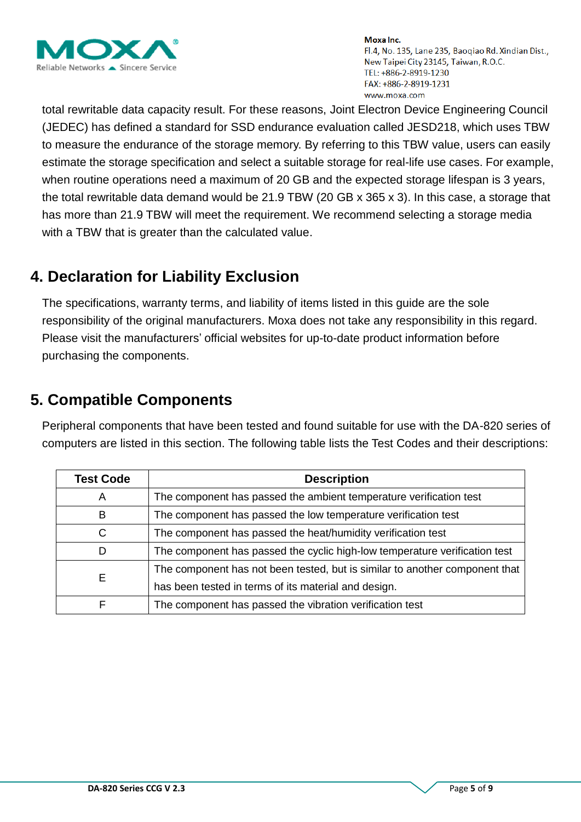

total rewritable data capacity result. For these reasons, Joint Electron Device Engineering Council (JEDEC) has defined a standard for SSD endurance evaluation called JESD218, which uses TBW to measure the endurance of the storage memory. By referring to this TBW value, users can easily estimate the storage specification and select a suitable storage for real-life use cases. For example, when routine operations need a maximum of 20 GB and the expected storage lifespan is 3 years, the total rewritable data demand would be 21.9 TBW (20 GB x 365 x 3). In this case, a storage that has more than 21.9 TBW will meet the requirement. We recommend selecting a storage media with a TBW that is greater than the calculated value.

# **4. Declaration for Liability Exclusion**

The specifications, warranty terms, and liability of items listed in this guide are the sole responsibility of the original manufacturers. Moxa does not take any responsibility in this regard. Please visit the manufacturers' official websites for up-to-date product information before purchasing the components.

# **5. Compatible Components**

Peripheral components that have been tested and found suitable for use with the DA-820 series of computers are listed in this section. The following table lists the Test Codes and their descriptions:

| <b>Test Code</b> | <b>Description</b>                                                          |
|------------------|-----------------------------------------------------------------------------|
| A                | The component has passed the ambient temperature verification test          |
| В                | The component has passed the low temperature verification test              |
| C                | The component has passed the heat/humidity verification test                |
| D                | The component has passed the cyclic high-low temperature verification test  |
|                  | The component has not been tested, but is similar to another component that |
| Е                | has been tested in terms of its material and design.                        |
|                  | The component has passed the vibration verification test                    |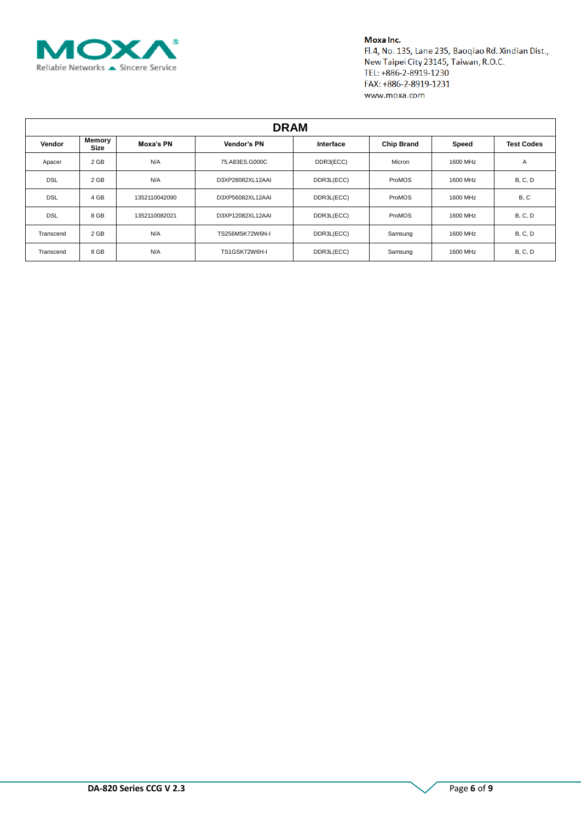

| <b>DRAM</b> |                |               |                          |            |                   |              |                   |  |  |  |
|-------------|----------------|---------------|--------------------------|------------|-------------------|--------------|-------------------|--|--|--|
| Vendor      | Memory<br>Size | Moxa's PN     | Vendor's PN<br>Interface |            | <b>Chip Brand</b> | <b>Speed</b> | <b>Test Codes</b> |  |  |  |
| Apacer      | 2 GB           | N/A           | 75.A83ES.G000C           | DDR3(ECC)  | Micron            | 1600 MHz     | A                 |  |  |  |
| <b>DSL</b>  | 2 GB           | N/A           | D3XP28082XL12AAI         | DDR3L(ECC) | ProMOS            | 1600 MHz     | <b>B, C, D</b>    |  |  |  |
| <b>DSL</b>  | 4 GB           | 1352110042090 | D3XP56082XL12AAI         | DDR3L(ECC) | ProMOS            | 1600 MHz     | B, C              |  |  |  |
| <b>DSL</b>  | 8 GB           | 1352110082021 | D3XP12082XL12AAI         | DDR3L(ECC) | ProMOS            | 1600 MHz     | B, C, D           |  |  |  |
| Transcend   | 2 GB           | N/A           | TS256MSK72W6N-I          | DDR3L(ECC) | Samsung           | 1600 MHz     | <b>B, C, D</b>    |  |  |  |
| Transcend   | 8 GB           | N/A           | TS1GSK72W6H-I            | DDR3L(ECC) | Samsung           | 1600 MHz     | <b>B, C, D</b>    |  |  |  |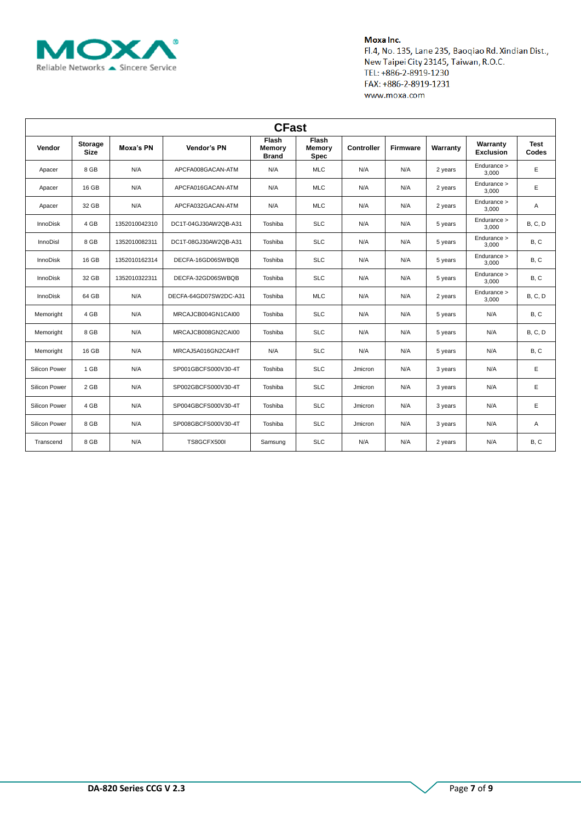

| <b>CFast</b>    |                               |               |                       |                                 |                                       |                   |          |          |                              |                      |  |
|-----------------|-------------------------------|---------------|-----------------------|---------------------------------|---------------------------------------|-------------------|----------|----------|------------------------------|----------------------|--|
| Vendor          | <b>Storage</b><br><b>Size</b> | Moxa's PN     | Vendor's PN           | Flash<br>Memory<br><b>Brand</b> | Flash<br><b>Memory</b><br><b>Spec</b> | <b>Controller</b> | Firmware | Warranty | Warranty<br><b>Exclusion</b> | <b>Test</b><br>Codes |  |
| Apacer          | 8 GB                          | N/A           | APCFA008GACAN-ATM     | N/A                             | <b>MLC</b>                            | N/A               | N/A      | 2 years  | Endurance ><br>3,000         | Е                    |  |
| Apacer          | 16 GB                         | N/A           | APCFA016GACAN-ATM     | N/A                             | <b>MLC</b>                            | N/A               | N/A      | 2 years  | Endurance ><br>3,000         | Е                    |  |
| Apacer          | 32 GB                         | N/A           | APCFA032GACAN-ATM     | N/A                             | <b>MLC</b>                            | N/A               | N/A      | 2 years  | Endurance ><br>3,000         | Α                    |  |
| <b>InnoDisk</b> | 4 GB                          | 1352010042310 | DC1T-04GJ30AW2QB-A31  | Toshiba                         | <b>SLC</b>                            | N/A               | N/A      | 5 years  | Endurance ><br>3,000         | <b>B, C, D</b>       |  |
| <b>InnoDisl</b> | 8 GB                          | 1352010082311 | DC1T-08GJ30AW2QB-A31  | Toshiba                         | <b>SLC</b>                            | N/A               | N/A      | 5 years  | Endurance ><br>3,000         | B, C                 |  |
| <b>InnoDisk</b> | 16 GB                         | 1352010162314 | DECFA-16GD06SWBQB     | Toshiba                         | <b>SLC</b>                            | N/A               | N/A      | 5 years  | Endurance ><br>3.000         | B, C                 |  |
| <b>InnoDisk</b> | 32 GB                         | 1352010322311 | DECFA-32GD06SWBQB     | Toshiba                         | <b>SLC</b>                            | N/A               | N/A      | 5 years  | Endurance ><br>3,000         | B, C                 |  |
| <b>InnoDisk</b> | 64 GB                         | N/A           | DECFA-64GD07SW2DC-A31 | Toshiba                         | <b>MLC</b>                            | N/A               | N/A      | 2 years  | Endurance ><br>3.000         | <b>B, C, D</b>       |  |
| Memoright       | 4 GB                          | N/A           | MRCAJCB004GN1CAI00    | Toshiba                         | <b>SLC</b>                            | N/A               | N/A      | 5 years  | N/A                          | B, C                 |  |
| Memoright       | 8 GB                          | N/A           | MRCAJCB008GN2CAI00    | Toshiba                         | <b>SLC</b>                            | N/A               | N/A      | 5 years  | N/A                          | <b>B, C, D</b>       |  |
| Memoright       | 16 GB                         | N/A           | MRCAJ5A016GN2CAIHT    | N/A                             | <b>SLC</b>                            | N/A               | N/A      | 5 years  | N/A                          | B, C                 |  |
| Silicon Power   | 1 GB                          | N/A           | SP001GBCFS000V30-4T   | Toshiba                         | <b>SLC</b>                            | Jmicron           | N/A      | 3 years  | N/A                          | Е                    |  |
| Silicon Power   | $2$ GB                        | N/A           | SP002GBCFS000V30-4T   | Toshiba                         | <b>SLC</b>                            | Jmicron           | N/A      | 3 years  | N/A                          | Е                    |  |
| Silicon Power   | 4 GB                          | N/A           | SP004GBCFS000V30-4T   | Toshiba                         | <b>SLC</b>                            | Jmicron           | N/A      | 3 years  | N/A                          | Ε                    |  |
| Silicon Power   | 8 GB                          | N/A           | SP008GBCFS000V30-4T   | Toshiba                         | <b>SLC</b>                            | Jmicron           | N/A      | 3 years  | N/A                          | Α                    |  |
| Transcend       | 8 GB                          | N/A           | TS8GCFX500I           | Samsung                         | <b>SLC</b>                            | N/A               | N/A      | 2 years  | N/A                          | B, C                 |  |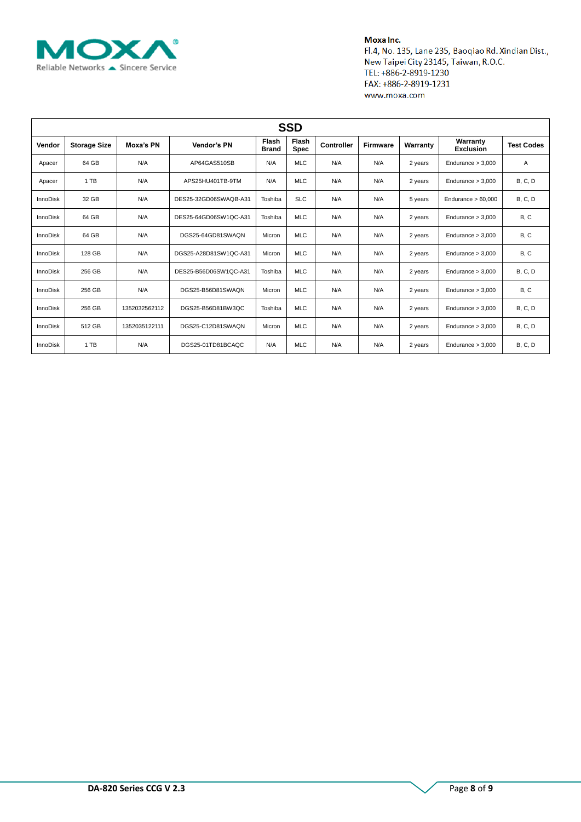

| <b>SSD</b>      |                     |               |                       |                       |                      |                   |          |          |                              |                   |  |
|-----------------|---------------------|---------------|-----------------------|-----------------------|----------------------|-------------------|----------|----------|------------------------------|-------------------|--|
| Vendor          | <b>Storage Size</b> | Moxa's PN     | Vendor's PN           | Flash<br><b>Brand</b> | Flash<br><b>Spec</b> | <b>Controller</b> | Firmware | Warranty | Warranty<br><b>Exclusion</b> | <b>Test Codes</b> |  |
| Apacer          | 64 GB               | N/A           | AP64GAS510SB          | N/A                   | <b>MLC</b>           | N/A               | N/A      | 2 years  | Endurance $> 3,000$          | A                 |  |
| Apacer          | 1 TB                | N/A           | APS25HU401TB-9TM      | N/A                   | <b>MLC</b>           | N/A               | N/A      | 2 years  | Endurance $> 3,000$          | <b>B, C, D</b>    |  |
| <b>InnoDisk</b> | 32 GB               | N/A           | DES25-32GD06SWAQB-A31 | Toshiba               | <b>SLC</b>           | N/A               | N/A      | 5 years  | Endurance $> 60,000$         | <b>B, C, D</b>    |  |
| <b>InnoDisk</b> | 64 GB               | N/A           | DES25-64GD06SW1QC-A31 | Toshiba               | <b>MLC</b>           | N/A               | N/A      | 2 years  | Endurance $> 3,000$          | B, C              |  |
| <b>InnoDisk</b> | 64 GB               | N/A           | DGS25-64GD81SWAQN     | Micron                | <b>MLC</b>           | N/A               | N/A      | 2 years  | Endurance $> 3,000$          | B, C              |  |
| <b>InnoDisk</b> | 128 GB              | N/A           | DGS25-A28D81SW1QC-A31 | Micron                | <b>MLC</b>           | N/A               | N/A      | 2 years  | Endurance $> 3.000$          | B, C              |  |
| InnoDisk        | 256 GB              | N/A           | DES25-B56D06SW1QC-A31 | Toshiba               | <b>MLC</b>           | N/A               | N/A      | 2 years  | Endurance $> 3,000$          | <b>B, C, D</b>    |  |
| <b>InnoDisk</b> | 256 GB              | N/A           | DGS25-B56D81SWAQN     | Micron                | <b>MLC</b>           | N/A               | N/A      | 2 years  | Endurance $> 3,000$          | B, C              |  |
| <b>InnoDisk</b> | 256 GB              | 1352032562112 | DGS25-B56D81BW3QC     | Toshiba               | <b>MLC</b>           | N/A               | N/A      | 2 years  | Endurance $> 3,000$          | <b>B, C, D</b>    |  |
| <b>InnoDisk</b> | 512 GB              | 1352035122111 | DGS25-C12D81SWAQN     | Micron                | <b>MLC</b>           | N/A               | N/A      | 2 years  | Endurance $> 3.000$          | <b>B, C, D</b>    |  |
| <b>InnoDisk</b> | 1 TB                | N/A           | DGS25-01TD81BCAQC     | N/A                   | <b>MLC</b>           | N/A               | N/A      | 2 years  | Endurance $> 3,000$          | <b>B, C, D</b>    |  |